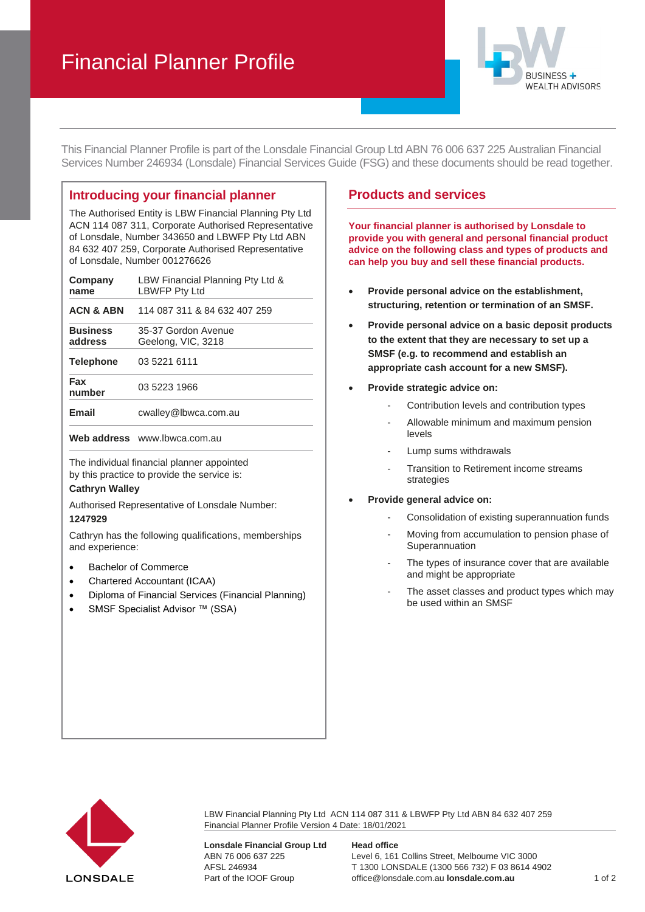# Financial Planner Profile



This Financial Planner Profile is part of the Lonsdale Financial Group Ltd ABN 76 006 637 225 Australian Financial Services Number 246934 (Lonsdale) Financial Services Guide (FSG) and these documents should be read together.

## **Introducing your financial planner**

The Authorised Entity is LBW Financial Planning Pty Ltd ACN 114 087 311, Corporate Authorised Representative of Lonsdale, Number 343650 and LBWFP Pty Ltd ABN 84 632 407 259, Corporate Authorised Representative of Lonsdale, Number 001276626

| Company | LBW Financial Planning Pty Ltd & |
|---------|----------------------------------|
| name    | LBWFP Pty Ltd                    |

**ACN & ABN** 114 087 311 & 84 632 407 259

| <b>Business</b> | 35-37 Gordon Avenue |
|-----------------|---------------------|
|                 |                     |

**address** Geelong, VIC, 3218

**Telephone** 03 5221 6111

**Fax number** 03 5223 1966

**Email** cwalley@lbwca.com.au

**Web address** www.lbwca.com.au

The individual financial planner appointed by this practice to provide the service is:

#### **Cathryn Walley**

Authorised Representative of Lonsdale Number: **1247929**

Cathryn has the following qualifications, memberships and experience:

- Bachelor of Commerce
- Chartered Accountant (ICAA)
- Diploma of Financial Services (Financial Planning)
- SMSF Specialist Advisor ™ (SSA)

## **Products and services**

**Your financial planner is authorised by Lonsdale to provide you with general and personal financial product advice on the following class and types of products and can help you buy and sell these financial products.**

- **Provide personal advice on the establishment, structuring, retention or termination of an SMSF.**
- **Provide personal advice on a basic deposit products to the extent that they are necessary to set up a SMSF (e.g. to recommend and establish an appropriate cash account for a new SMSF).**
- **Provide strategic advice on:**
	- Contribution levels and contribution types
	- Allowable minimum and maximum pension levels
	- Lump sums withdrawals
	- Transition to Retirement income streams strategies
- **Provide general advice on:**
	- Consolidation of existing superannuation funds
	- Moving from accumulation to pension phase of **Superannuation**
	- The types of insurance cover that are available and might be appropriate
	- The asset classes and product types which may be used within an SMSF



LBW Financial Planning Pty Ltd ACN 114 087 311 & LBWFP Pty Ltd ABN 84 632 407 259 Financial Planner Profile Version 4 Date: 18/01/2021

**Lonsdale Financial Group Ltd** ABN 76 006 637 225 AFSL 246934 Part of the IOOF Group

#### **Head office**

Level 6, 161 Collins Street, Melbourne VIC 3000 T 1300 LONSDALE (1300 566 732) F 03 8614 4902 office@lonsdale.com.au **lonsdale.com.au** 1 of 2